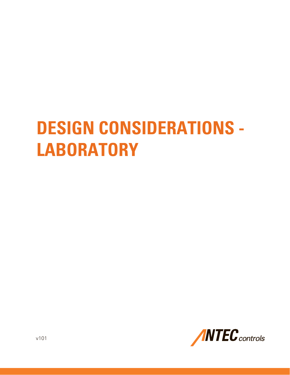# **DESIGN CONSIDERATIONS - LABORATORY**

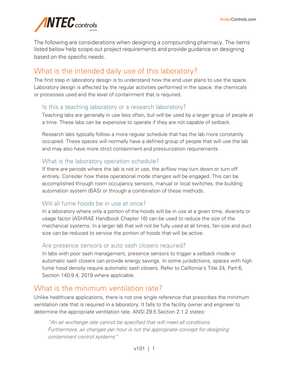

The following are considerations when designing a compounding pharmacy. The items listed below help scope out project requirements and provide guidance on designing based on the specific needs.

# What is the intended daily use of this laboratory?

The first step in laboratory design is to understand how the end user plans to use the space. Laboratory design is affected by the regular activities performed in the space, the chemicals or processes used and the level of containment that is required.

## Is this a teaching laboratory or a research laboratory?

Teaching labs are generally in use less often, but will be used by a larger group of people at a time. These labs can be expensive to operate if they are not capable of setback.

Research labs typically follow a more regular schedule that has the lab more constantly occupied. These spaces will normally have a defined group of people that will use the lab and may also have more strict containment and pressurization requirements.

## What is the laboratory operation schedule?

If there are periods where the lab is not in use, the airflow may turn down or turn off entirely. Consider how these operational mode changes will be engaged. This can be accomplished through room occupancy sensors, manual or local switches, the building automation system (BAS) or through a combination of these methods.

## Will all fume hoods be in use at once?

In a laboratory where only a portion of the hoods will be in use at a given time, diversity or usage factor (ASHRAE Handbook Chapter 16) can be used to reduce the size of the mechanical systems. In a larger lab that will not be fully used at all times, fan size and duct size can be reduced to service the portion of hoods that will be active.

## Are presence sensors or auto sash closers required?

In labs with poor sash management, presence sensors to trigger a setback mode or automatic sash closers can provide energy savings. In some jurisdictions, spaces with high fume hood density require automatic sash closers. Refer to California's Title 24, Part 6, Section 140.9.4, 2019 where applicable.

## What is the minimum ventilation rate?

Unlike healthcare applications, there is not one single reference that prescribes the minimum ventilation rate that is required in a laboratory. It falls to the facility owner and engineer to determine the appropriate ventilation rate. ANSI Z9.5 Section 2.1.2 states:

"An air exchange rate cannot be specified that will meet all conditions. Furthermore, air changes per hour is not the appropriate concept for designing contaminant control systems"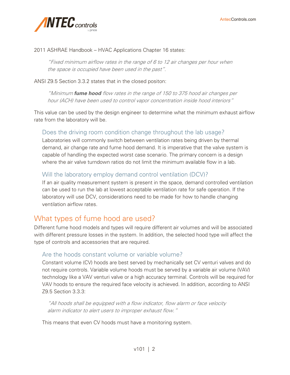

#### 2011 ASHRAE Handbook – HVAC Applications Chapter 16 states:

"Fixed minimum airflow rates in the range of 6 to 12 air changes per hour when the space is occupied have been used in the past".

ANSI Z9.5 Section 3.3.2 states that in the closed positon:

"Minimum *fume hood* flow rates in the range of 150 to 375 hood air changes per hour (ACH) have been used to control vapor concentration inside hood interiors"

This value can be used by the design engineer to determine what the minimum exhaust airflow rate from the laboratory will be.

## Does the driving room condition change throughout the lab usage?

Laboratories will commonly switch between ventilation rates being driven by thermal demand, air change rate and fume hood demand. It is imperative that the valve system is capable of handling the expected worst case scenario. The primary concern is a design where the air valve turndown ratios do not limit the minimum available flow in a lab.

## Will the laboratory employ demand control ventilation (DCV)?

If an air quality measurement system is present in the space, demand controlled ventilation can be used to run the lab at lowest acceptable ventilation rate for safe operation. If the laboratory will use DCV, considerations need to be made for how to handle changing ventilation airflow rates.

## What types of fume hood are used?

Different fume hood models and types will require different air volumes and will be associated with different pressure losses in the system. In addition, the selected hood type will affect the type of controls and accessories that are required.

#### Are the hoods constant volume or variable volume?

Constant volume (CV) hoods are best served by mechanically set CV venturi valves and do not require controls. Variable volume hoods must be served by a variable air volume (VAV) technology like a VAV venturi valve or a high accuracy terminal. Controls will be required for VAV hoods to ensure the required face velocity is achieved. In addition, according to ANSI Z9.5 Section 3.3.3:

"All hoods shall be equipped with a flow indicator, flow alarm or face velocity alarm indicator to alert users to improper exhaust flow."

This means that even CV hoods must have a monitoring system.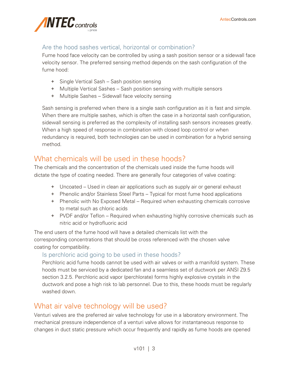

## Are the hood sashes vertical, horizontal or combination?

Fume hood face velocity can be controlled by using a sash position sensor or a sidewall face velocity sensor. The preferred sensing method depends on the sash configuration of the fume hood:

- + Single Vertical Sash Sash position sensing
- + Multiple Vertical Sashes Sash position sensing with multiple sensors
- + Multiple Sashes Sidewall face velocity sensing

Sash sensing is preferred when there is a single sash configuration as it is fast and simple. When there are multiple sashes, which is often the case in a horizontal sash configuration, sidewall sensing is preferred as the complexity of installing sash sensors increases greatly. When a high speed of response in combination with closed loop control or when redundancy is required, both technologies can be used in combination for a hybrid sensing method.

# What chemicals will be used in these hoods?

The chemicals and the concentration of the chemicals used inside the fume hoods will dictate the type of coating needed. There are generally four categories of valve coating:

- + Uncoated Used in clean air applications such as supply air or general exhaust
- + Phenolic and/or Stainless Steel Parts Typical for most fume hood applications
- + Phenolic with No Exposed Metal Required when exhausting chemicals corrosive to metal such as chloric acids
- + PVDF and/or Teflon Required when exhausting highly corrosive chemicals such as nitric acid or hydrofluoric acid

The end users of the fume hood will have a detailed chemicals list with the corresponding concentrations that should be cross referenced with the chosen valve coating for compatibility.

## Is perchloric acid going to be used in these hoods?

Perchloric acid fume hoods cannot be used with air valves or with a manifold system. These hoods must be serviced by a dedicated fan and a seamless set of ductwork per ANSI Z9.5 section 3.2.5. Perchloric acid vapor (perchlorate) forms highly explosive crystals in the ductwork and pose a high risk to lab personnel. Due to this, these hoods must be regularly washed down.

# What air valve technology will be used?

Venturi valves are the preferred air valve technology for use in a laboratory environment. The mechanical pressure independence of a venturi valve allows for instantaneous response to changes in duct static pressure which occur frequently and rapidly as fume hoods are opened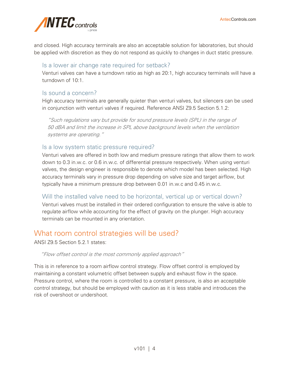

and closed. High accuracy terminals are also an acceptable solution for laboratories, but should be applied with discretion as they do not respond as quickly to changes in duct static pressure.

## Is a lower air change rate required for setback?

Venturi valves can have a turndown ratio as high as 20:1, high accuracy terminals will have a turndown of 10:1.

## Is sound a concern?

High accuracy terminals are generally quieter than venturi valves, but silencers can be used in conjunction with venturi valves if required. Reference ANSI Z9.5 Section 5.1.2:

"Such regulations vary but provide for sound pressure levels (SPL) in the range of 50 dBA and limit the increase in SPL above background levels when the ventilation systems are operating."

#### Is a low system static pressure required?

Venturi valves are offered in both low and medium pressure ratings that allow them to work down to 0.3 in.w.c. or 0.6 in.w.c. of differential pressure respectively. When using venturi valves, the design engineer is responsible to denote which model has been selected. High accuracy terminals vary in pressure drop depending on valve size and target airflow, but typically have a minimum pressure drop between 0.01 in.w.c and 0.45 in.w.c.

Will the installed valve need to be horizontal, vertical up or vertical down?

Venturi valves must be installed in their ordered configuration to ensure the valve is able to regulate airflow while accounting for the effect of gravity on the plunger. High accuracy terminals can be mounted in any orientation.

# What room control strategies will be used?

ANSI Z9.5 Section 5.2.1 states:

"Flow offset control is the most commonly applied approach"

This is in reference to a room airflow control strategy. Flow offset control is employed by maintaining a constant volumetric offset between supply and exhaust flow in the space. Pressure control, where the room is controlled to a constant pressure, is also an acceptable control strategy, but should be employed with caution as it is less stable and introduces the risk of overshoot or undershoot.